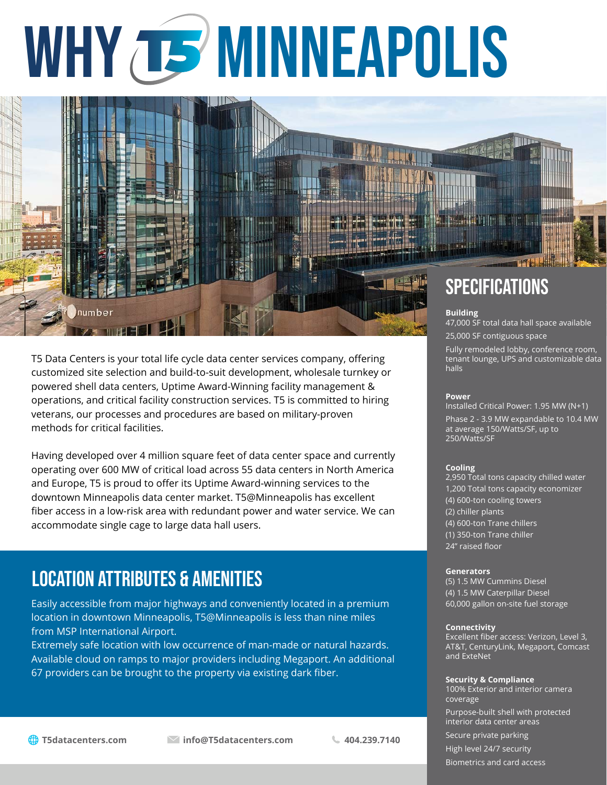# WHY TS MINNEAPOLIS



T5 Data Centers is your total life cycle data center services company, offering customized site selection and build-to-suit development, wholesale turnkey or powered shell data centers, Uptime Award-Winning facility management & operations, and critical facility construction services. T5 is committed to hiring veterans, our processes and procedures are based on military-proven methods for critical facilities.

Having developed over 4 million square feet of data center space and currently operating over 600 MW of critical load across 55 data centers in North America and Europe, T5 is proud to offer its Uptime Award-winning services to the downtown Minneapolis data center market. T5@Minneapolis has excellent fiber access in a low-risk area with redundant power and water service. We can accommodate single cage to large data hall users.

### LOCATION ATTRIBUTES & amenitieS

Easily accessible from major highways and conveniently located in a premium location in downtown Minneapolis, T5@Minneapolis is less than nine miles from MSP International Airport.

Extremely safe location with low occurrence of man-made or natural hazards. Available cloud on ramps to major providers including Megaport. An additional 67 providers can be brought to the property via existing dark fiber.

25,000 SF contiguous space

Fully remodeled lobby, conference room, tenant lounge, UPS and customizable data halls

#### **Power**

Installed Critical Power: 1.95 MW (N+1) Phase 2 - 3.9 MW expandable to 10.4 MW

at average 150/Watts/SF, up to 250/Watts/SF

#### **Cooling**

2,950 Total tons capacity chilled water 1,200 Total tons capacity economizer (4) 600-ton cooling towers (2) chiller plants (4) 600-ton Trane chillers (1) 350-ton Trane chiller 24" raised floor

#### **Generators**

(5) 1.5 MW Cummins Diesel (4) 1.5 MW Caterpillar Diesel 60,000 gallon on-site fuel storage

#### **Connectivity**

Excellent fiber access: Verizon, Level 3, AT&T, CenturyLink, Megaport, Comcast and ExteNet

#### **Security & Compliance**

100% Exterior and interior camera coverage

Purpose-built shell with protected interior data center areas

Secure private parking High level 24/7 security

Biometrics and card access

**T5datacenters.com info@T5datacenters.com 404.239.7140**